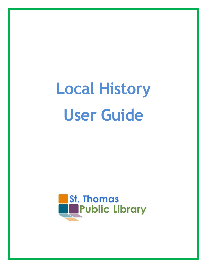# **Local History User Guide**

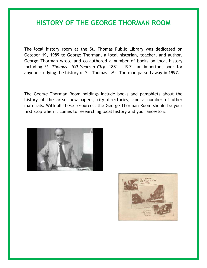## **HISTORY OF THE GEORGE THORMAN ROOM**

The local history room at the St. Thomas Public Library was dedicated on October 19, 1989 to George Thorman, a local historian, teacher, and author. George Thorman wrote and co-authored a number of books on local history including *St. Thomas: 100 Years a City*, 1881 – 1991, an important book for anyone studying the history of St. Thomas. Mr. Thorman passed away in 1997.

The George Thorman Room holdings include books and pamphlets about the history of the area, newspapers, city directories, and a number of other materials. With all these resources, the George Thorman Room should be your first stop when it comes to researching local history and your ancestors.



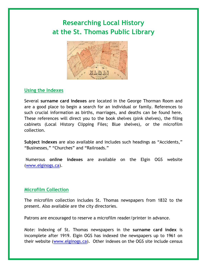## **Researching Local History at the St. Thomas Public Library**



#### **Using the Indexes**

Several **surname card indexes** are located in the George Thorman Room and are a good place to begin a search for an individual or family. References to such crucial information as births, marriages, and deaths can be found here. These references will direct you to the book shelves (pink shelves), the filing cabinets (Local History Clipping Files; Blue shelves), or the microfilm collection.

**Subject Indexes** are also available and includes such headings as "Accidents," "Businesses," "Churches" and "Railroads."

Numerous **online indexes** are available on the Elgin OGS website [\(www.elginogs.ca\)](http://www.elginogs.ca/).

#### **Microfilm Collection**

The microfilm collection includes St. Thomas newspapers from 1832 to the present. Also available are the city directories.

Patrons are encouraged to reserve a microfilm reader/printer in advance.

*Note:* Indexing of St. Thomas newspapers in the **surname card index** is incomplete after 1919. Elgin OGS has indexed the newspapers up to 1961 on their website [\(www.elginogs.ca\)](http://www.elginogs.ca/). Other indexes on the OGS site include census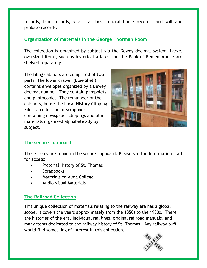records, land records, vital statistics, funeral home records, and will and probate records.

#### **Organization of materials in the George Thorman Room**

The collection is organized by subject via the Dewey decimal system. Large, oversized items, such as historical atlases and the Book of Remembrance are shelved separately.

The filing cabinets are comprised of two parts. The lower drawer (Blue Shelf) contains envelopes organized by a Dewey decimal number. They contain pamphlets and photocopies. The remainder of the cabinets, house the Local History Clipping Files, a collection of scrapbooks containing newspaper clippings and other materials organized alphabetically by subject.



#### **The secure cupboard**

These items are found in the secure cupboard. Please see the Information staff for access:

- Pictorial History of St. Thomas
- **Scrapbooks**
- Materials on Alma College
- Audio Visual Materials

#### **The Railroad Collection**

This unique collection of materials relating to the railway era has a global scope. It covers the years approximately from the 1850s to the 1980s. There are histories of the era, individual rail lines, original railroad manuals, and many items dedicated to the railway history of St. Thomas. Any railway buff would find something of interest in this collection.

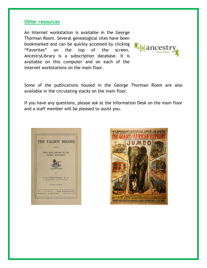#### **Other resources**

An Internet workstation is available in the George Thorman Room. Several genealogical sites have been bookmarked and can be quickly accessed by clicking "Favorites" on the top of the screen. AncestryLibrary is a subscription database. It is available on this computer and on each of the internet workstations on the main floor.



Some of the publications housed in the George Thorman Room are also available in the circulating stacks on the main floor.

If you have any questions, please ask at the Information Desk on the main floor and a staff member will be pleased to assist you.





SANGERS ROYAL BRITTSH MENAGERIE & GRAND INTERNATIONAL ALLIED SHOWS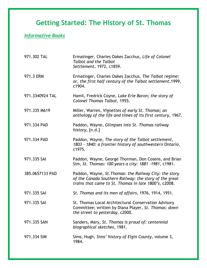## **Getting Started: The History of St. Thomas**

### *Informative Books*

| 971.302 TAL     | Ermatinger, Charles Oakes Zacchus, Life of Colonel<br><b>Talbot and the Talbot</b><br>Settlement, 1972, c1859.                                                            |
|-----------------|---------------------------------------------------------------------------------------------------------------------------------------------------------------------------|
| 971.3 ERM       | Ermatinger, Charles Oakes Zacchus, The Talbot regime:<br>or, the first half century of the Talbot settlement, 1999,<br>c1904.                                             |
| 971.3340924 TAL | Hamil, Fredrick Coyne, Lake Erie Baron; the story of<br>Colonel Thomas Talbot, 1955.                                                                                      |
| 971.335 M619    | Miller, Warren, Vignettes of early St. Thomas; an<br>anthology of the life and times of its first century, 1967.                                                          |
| 971.334 PAD     | Paddon, Wayne, Glimpses into St. Thomas railway<br>history, [n.d.]                                                                                                        |
| 971.334 PAD     | Paddon, Wayne, The story of the Talbot settlement,<br>1803 - 1840: a frontier history of southwestern Ontario,<br>c1975.                                                  |
| 971.335 SAI     | Paddon, Wayne, George Thorman, Don Cosens, and Brian<br>Sim, St. Thomas: 100 years a city: 1881 -1981, c1981.                                                             |
| 385.0657133 PAD | Paddon, Wayne, St. Thomas: the Railway City: the story<br>of the Canada Southern Railway: the story of the great<br>trains that came to St. Thomas in late 1800's, c2008. |
| 971.335 SAI     | St. Thomas and its men of affairs, 1976, 1914, 1951.                                                                                                                      |
| 971.335 SAI     | St. Thomas Local Architectural Conservation Advisory<br>Committee; written by Diana Player, St. Thomas: down<br>the street to yesterday, c2000.                           |
| 971.335 SAN     | Sanders, Mary, St. Thomas is proud of: centennial<br>biographical sketches, 1981.                                                                                         |
| 971.334 SIM     | Sims, Hugh, Sims' history of Elgin County, volume 3,<br>1984.                                                                                                             |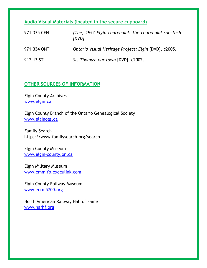**Audio Visual Materials (located in the secure cupboard)**

| 971.335 CEN | (The) 1952 Elgin centennial: the centennial spectacle<br>[DVD] |
|-------------|----------------------------------------------------------------|
| 971.334 ONT | Ontario Visual Heritage Project: Elgin [DVD], c2005.           |
| 917.13 ST   | St. Thomas: our town [DVD], c2002.                             |

#### **OTHER SOURCES OF INFORMATION**

Elgin County Archives <www.elgin.ca>

Elgin County Branch of the Ontario Genealogical Society <www.elginogs.ca>

Family Search https://www.familysearch.org/search

Elgin County Museum <www.elgin-county.on.ca>

Elgin Military Museum <www.emm.fp.execulink.com>

Elgin County Railway Museum <www.ecrm5700.org>

North American Railway Hall of Fame <www.narhf.org>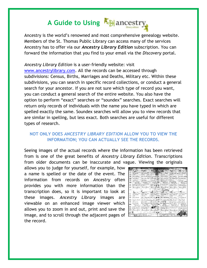## **A Guide to Using**

Ancestry is the world's renowned and most comprehensive genealogy website. Members of the St. Thomas Public Library can access many of the services Ancestry has to offer via our *Ancestry Library Edition* subscription. You can forward the information that you find to your email via the *Discovery* portal.

*Ancestry Library Edition* is a user-friendly website: visit [www.ancestrylibrary.com.](http://www.ancestrylibrary.com/) All the records can be accessed through subdivisions: Census, Births, Marriages and Deaths, Military etc. Within these subdivisions, you can search in specific record collections, or conduct a general search for your ancestor. If you are not sure which type of record you want, you can conduct a general search of the entire website. You also have the option to perform "exact" searches or "soundex" searches. Exact searches will return only records of individuals with the name you have typed in which are spelled exactly the same. Soundex searches will allow you to view records that are similar in spelling, but less exact. Both searches are useful for different types of research.

#### **NOT ONLY DOES** *ANCESTRY LIBRARY EDITION* **ALLOW YOU TO VIEW THE INFORMATION; YOU CAN ACTUALLY SEE THE RECORDS.**

Seeing images of the actual records where the information has been retrieved from is one of the great benefits of *Ancestry Library Edition*. Transcriptions from older documents can be inaccurate and vague. Viewing the originals

allows you to judge for yourself, for example, how a name is spelled or the date of the event. The information from records on *Ancestry* often provides you with more information than the transcription does, so it is important to look at these images. *Ancestry Library* images are viewable on an enhanced image viewer which allows you to zoom in and out, print and save the image, and to scroll through the adjacent pages of the record.

|                                  | استكاد منل<br>The first service of          |                                      | <b>Light</b>                 |                       |                    |
|----------------------------------|---------------------------------------------|--------------------------------------|------------------------------|-----------------------|--------------------|
| dista Afree                      | Boards For                                  |                                      |                              |                       |                    |
| distant.                         | that has                                    |                                      | Barbarath                    |                       |                    |
|                                  | <b>Bally Ave</b>                            |                                      |                              |                       |                    |
|                                  |                                             | More of all                          |                              |                       |                    |
| All-Advance USES<br>material and | As Most West<br><b>California Committee</b> | <b>Max Willis</b>                    | a irsi<br>stations and the C | d. Mind<br>3.00-      |                    |
|                                  | Planners Gloridan                           |                                      |                              |                       |                    |
| Luisgian                         |                                             |                                      | Arrest Grida                 | <b>Brault William</b> |                    |
|                                  |                                             |                                      |                              |                       |                    |
| $-1.04$                          | .                                           |                                      |                              | <b>THE LAST</b>       |                    |
| today, 178,618                   | nas Pétra                                   | 4.5.591                              | abilitiras (PH)              | 10 Adves 1994         | <b>Edilman 199</b> |
| 2. Sales                         |                                             |                                      | - -                          | <b>CARLOS</b>         |                    |
|                                  |                                             |                                      |                              |                       |                    |
|                                  |                                             |                                      | معاطف                        |                       | $10 - 10$          |
| ku dri Mom                       |                                             | has been that in the window that the | Americal College             | Blacker               |                    |
| <b>Britain Issue</b>             | <b>Street Hill !!</b>                       |                                      |                              | Autre Rond            |                    |
| and the con-                     | to an Aug Ark of Aug                        |                                      |                              | Court Marie .         |                    |
| <b>Behaving</b>                  | فكادت                                       |                                      |                              |                       |                    |
| <b>PERMIT</b>                    |                                             |                                      |                              | College Web           | <b>John Mark</b>   |
| <b>Place The</b>                 |                                             |                                      |                              |                       |                    |
| Annie Strate                     |                                             |                                      |                              |                       |                    |
|                                  |                                             |                                      |                              |                       |                    |
|                                  |                                             |                                      |                              |                       |                    |
|                                  |                                             |                                      |                              |                       |                    |
|                                  |                                             |                                      |                              |                       |                    |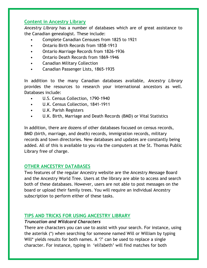#### **Content in Ancestry Library**

*Ancestry Library* has a number of databases which are of great assistance to the Canadian genealogist. These include:

- Complete Canadian Censuses from 1825 to 1921
- Ontario Birth Records from 1858-1913
- Ontario Marriage Records from 1826-1936
- Ontario Death Records from 1869-1946
- Canadian Military Collection
- Canadian Passenger Lists, 1865-1935

In addition to the many Canadian databases available, *Ancestry Library* provides the resources to research your international ancestors as well. Databases include:

- U.S. Census Collection, 1790-1940
- U.K. Census Collection, 1841-1911
- U.K. Parish Registers
- U.K. Birth, Marriage and Death Records (BMD) or Vital Statistics

In addition, there are dozens of other databases focused on census records, BMD (birth, marriage, and death) records, immigration records, military records and town directories. New databases and updates are constantly being added. All of this is available to you via the computers at the St. Thomas Public Library free of charge.

#### **OTHER ANCESTRY DATABASES**

Two features of the regular Ancestry website are the Ancestry Message Board and the Ancestry World Tree. Users at the library are able to access and search both of these databases. However, users are not able to post messages on the board or upload their family trees. You will require an individual Ancestry subscription to perform either of these tasks.

#### **TIPS AND TRICKS FOR USING ANCESTRY LIBRARY**

#### *Truncation and Wildcard Characters*

There are characters you can use to assist with your search. For instance, using the asterisk (\*) when searching for someone named Will or William by typing Will\* yields results for both names. A '?' can be used to replace a single character. For instance, typing in 'eli?abeth' will find matches for both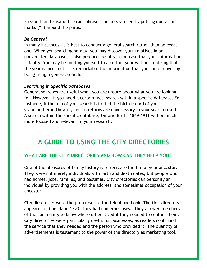Elizabeth and Elisabeth. Exact phrases can be searched by putting quotation marks ("") around the phrase.

#### *Be General*

In many instances, it is best to conduct a general search rather than an exact one. When you search generally, you may discover your relatives in an unexpected database. It also produces results in the case that your information is faulty. You may be limiting yourself to a certain year without realizing that the year is incorrect. It is remarkable the information that you can discover by being using a general search.

#### *Searching in Specific Databases*

General searches are useful when you are unsure about what you are looking for. However, if you need a certain fact, search within a specific database. For instance, if the aim of your search is to find the birth record of your grandmother in Ontario, census returns are unnecessary in your search results. A search within the specific database, Ontario Births 1869-1911 will be much more focused and relevant to your research.

## **A GUIDE TO USING THE CITY DIRECTORIES**

#### **WHAT ARE THE CITY DIRECTORIES AND HOW CAN THEY HELP YOU?**

One of the pleasures of family history is to recreate the life of your ancestor. They were not merely individuals with birth and death dates, but people who had homes, jobs, families, and pastimes. City directories can personify an individual by providing you with the address, and sometimes occupation of your ancestor.

City directories were the pre-cursor to the telephone book. The first directory appeared in Canada in 1790. They had numerous uses. They allowed members of the community to know where others lived if they needed to contact them. City directories were particularly useful for businesses, as readers could find the service that they needed and the person who provided it. The quantity of advertisements is testament to the power of the directory as marketing tool.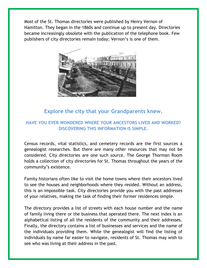Most of the St. Thomas directories were published by Henry Vernon of Hamilton. They began in the 1860s and continue up to present day. Directories became increasingly obsolete with the publication of the telephone book. Few publishers of city directories remain today; Vernon's is one of them.



#### **Explore the city that your Grandparents knew.**

#### **HAVE YOU EVER WONDERED WHERE YOUR ANCESTORS LIVED AND WORKED? DISCOVERING THIS INFORMATION IS SIMPLE.**

Census records, vital statistics, and cemetery records are the first sources a genealogist researches. But there are many other resources that may not be considered. City directories are one such source. The George Thorman Room holds a collection of city directories for St. Thomas throughout the years of the community's existence.

Family historians often like to visit the home towns where their ancestors lived to see the houses and neighborhoods where they resided. Without an address, this is an impossible task. City directories provide you with the past addresses of your relatives, making the task of finding their former residences simple.

The directory provides a list of streets with each house number and the name of family living there or the business that operated there. The next index is an alphabetical listing of all the residents of the community and their addresses. Finally, the directory contains a list of businesses and services and the name of the individuals providing them. While the genealogist will find the listing of individuals by name far easier to navigate, residents of St. Thomas may wish to see who was living at their address in the past.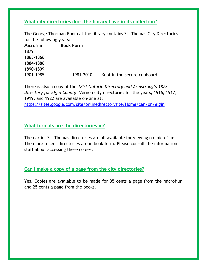**What city directories does the library have in its collection?**

The George Thorman Room at the library contains St. Thomas City Directories for the following years: **Microfilm Book Form** 1879 1865-1866 1884-1886 1890-1899 1901-1985 1981-2010 Kept in the secure cupboard.

There is also a copy of the *1851 Ontario Directory and Armstrong's 1872 Directory for Elgin County*. Vernon city directories for the years, 1916, 1917, 1919, and 1922 are available on-line at:

<https://sites.google.com/site/onlinedirectorysite/Home/can/on/elgin>

#### **What formats are the directories in?**

The earlier St. Thomas directories are all available for viewing on microfilm. The more recent directories are in book form. Please consult the information staff about accessing these copies.

#### **Can I make a copy of a page from the city directories?**

Yes. Copies are available to be made for 35 cents a page from the microfilm and 25 cents a page from the books.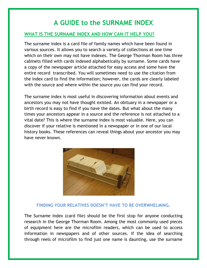## **A GUIDE to the SURNAME INDEX**

#### **WHAT IS THE SURNAME INDEX AND HOW CAN IT HELP YOU?**

The surname index is a card file of family names which have been found in various sources. It allows you to search a variety of collections at one time which on their own may not have indexes. The George Thorman Room has three cabinets filled with cards indexed alphabetically by surname. Some cards have a copy of the newspaper article attached for easy access and some have the entire record transcribed. You will sometimes need to use the citation from the index card to find the information; however, the cards are clearly labeled with the source and where within the source you can find your record.

The surname index is most useful in discovering information about events and ancestors you may not have thought existed. An obituary in a newspaper or a birth record is easy to find if you have the dates. But what about the many times your ancestors appear in a source and the reference is not attached to a vital date? This is where the surname index is most valuable. Here, you can discover if your relative is mentioned in a newspaper or in one of our local history books. These references can reveal things about your ancestor you may have never known.



#### **FINDING YOUR RELATIVES DOESN'T HAVE TO BE OVERWHELMING.**

The Surname Index (card file) should be the first stop for anyone conducting research in the George Thorman Room. Among the most commonly used pieces of equipment here are the microfilm readers, which can be used to access information in newspapers and of other sources. If the idea of searching through reels of microfilm to find just one name is daunting, use the surname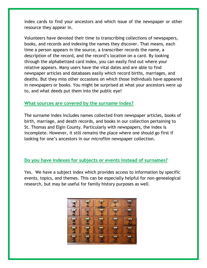index cards to find your ancestors and which issue of the newspaper or other resource they appear in.

Volunteers have devoted their time to transcribing collections of newspapers, books, and records and indexing the names they discover. That means, each time a person appears in the source, a transcriber records the name, a description of the record, and the record's location on a card. By looking through the alphabetized card index, you can easily find out where your relative appears. Many users have the vital dates and are able to find newspaper articles and databases easily which record births, marriages, and deaths. But they miss other occasions on which those individuals have appeared in newspapers or books. You might be surprised at what your ancestors were up to, and what deeds put them into the public eye!

#### **What sources are covered by the surname index?**

The surname index includes names collected from newspaper articles, books of birth, marriage, and death records, and books in our collection pertaining to St. Thomas and Elgin County. Particularly with newspapers, the index is incomplete. However, it still remains the place where one should go first if looking for one's ancestors in our microfilm newspaper collection.

#### **Do you have indexes for subjects or events instead of surnames?**

Yes. We have a subject index which provides access to information by specific events, topics, and themes. This can be especially helpful for non-genealogical research, but may be useful for family history purposes as well.

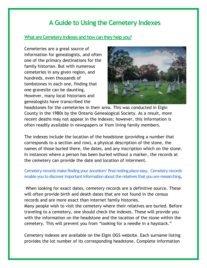## **A Guide to Using the Cemetery Indexes**

#### **What are Cemetery indexes and how can they help you?**

Cemeteries are a great source of information for genealogists, and often one of the primary destinations for the family historian. But with numerous cemeteries in any given region, and hundreds, even thousands of tombstones in each one, finding that one gravesite can be daunting. However, many local historians and genealogists have transcribed the



headstones for the cemeteries in their area. This was conducted in Elgin County in the 1980s by the Ontario Genealogical Society. As a result, more recent deaths may not appear in the indexes; however, this information is often readily available in newspapers or from living family members.

The indexes include the location of the headstone (providing a number that corresponds to a section and row), a physical description of the stone, the names of those buried there, the dates, and any inscription which on the stone. In instances where a person has been buried without a marker, the records at the cemetery can provide the date and location of interment.

#### **Cemetery records make finding your ancestors' final resting place easy. Cemetery records enable you to discover important information about the relatives that you are researching.**

When looking for exact dates, cemetery records are a definitive source. These will often provide birth and death dates that are not found in the census records and are more exact than internet family histories. Many people wish to visit the cemetery where their relatives are buried. Before traveling to a cemetery, one should check the indexes. These will provide you with the information on the headstone and the location of the stone within the

Cemetery indexes are available on the Elgin OGS website. Each surname listing provides the lot number of its corresponding headstone. Complete information

cemetery. This will prevent you from "looking for a needle in a haystack."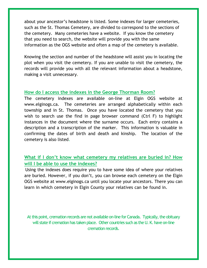about your ancestor's headstone is listed. Some indexes for larger cemeteries, such as the St. Thomas Cemetery, are divided to correspond to the sections of the cemetery. Many cemeteries have a website. If you know the cemetery that you need to search, the website will provide you with the same information as the OGS website and often a map of the cemetery is available.

Knowing the section and number of the headstone will assist you in locating the plot when you visit the cemetery. If you are unable to visit the cemetery, the records will provide you with all the relevant information about a headstone, making a visit unnecessary.

#### **How do I access the indexes in the George Thorman Room?**

The cemetery indexes are available on-line at Elgin OGS website at www.elginogs.ca. The cemeteries are arranged alphabetically within each township and in St. Thomas. Once you have located the cemetery that you wish to search use the find in page browser command (Ctrl F) to highlight instances in the document where the surname occurs. Each entry contains a description and a transcription of the marker. This information is valuable in confirming the dates of birth and death and kinship. The location of the cemetery is also listed.

#### **What if I don't know what cemetery my relatives are buried in? How will I be able to use the indexes?**

Using the indexes does require you to have some idea of where your relatives are buried. However, if you don't, you can browse each cemetery on the Elgin OGS website at www.elginogs.ca until you locate your ancestors. There you can learn in which cemetery in Elgin County your relatives can be found in.

At this point, cremation records are not available on-line for Canada. Typically, the obituary will state if cremation has taken place. Other countries such as the U.K. have on-line cremation records.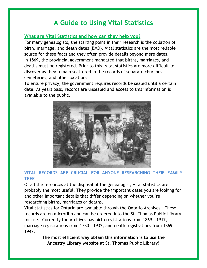## **A Guide to Using Vital Statistics**

#### **What are Vital Statistics and how can they help you?**

For many genealogists, the starting point in their research is the collation of birth, marriage, and death dates (BMD). Vital statistics are the most reliable source for these facts and they often provide details beyond mere dates. In 1869, the provincial government mandated that births, marriages, and deaths must be registered. Prior to this, vital statistics are more difficult to discover as they remain scattered in the records of separate churches, cemeteries, and other locations.

To ensure privacy, the government requires records be sealed until a certain date. As years pass, records are unsealed and access to this information is available to the public.



#### **VITAL RECORDS ARE CRUCIAL FOR ANYONE RESEARCHING THEIR FAMILY TREE**

Of all the resources at the disposal of the genealogist, vital statistics are probably the most useful. They provide the important dates you are looking for and other important details that differ depending on whether you're researching births, marriages or deaths.

Vital statistics for Ontario are available through the Ontario Archives. These records are on microfilm and can be ordered into the St. Thomas Public Library for use. Currently the Archives has birth registrations from 1869 – 1917, marriage registrations from 1780 – 1932, and death registrations from 1869 – 1942.

> **The most efficient way obtain this information is to use the Ancestry Library website at St. Thomas Public Library!**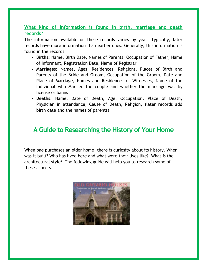#### **What kind of information is found in birth, marriage and death records?**

The information available on these records varies by year. Typically, later records have more information than earlier ones. Generally, this information is found in the records:

- **Births:** Name, Birth Date, Names of Parents, Occupation of Father, Name of Informant, Registration Date, Name of Registrar
- **Marriages:** Names, Ages, Residences, Religions, Places of Birth and Parents of the Bride and Groom, Occupation of the Groom, Date and Place of Marriage, Names and Residences of Witnesses, Name of the Individual who Married the couple and whether the marriage was by license or banns
- **Deaths**: Name, Date of Death, Age, Occupation, Place of Death, Physician in attendance, Cause of Death, Religion, (later records add birth date and the names of parents)

## **A Guide to Researching the History of Your Home**

When one purchases an older home, there is curiosity about its history. When was it built? Who has lived here and what were their lives like? What is the architectural style? The following guide will help you to research some of these aspects.

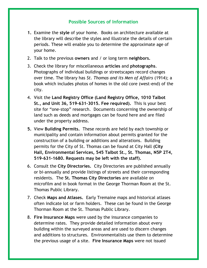#### **Possible Sources of Information**

- **1.** Examine the **style** of your home. Books on architecture available at the library will describe the styles and illustrate the details of certain periods. These will enable you to determine the approximate age of your home.
- 2. Talk to the previous **owners** and / or long term **neighbors.**
- 3. Check the library for miscellaneous **articles** and **photographs**. Photographs of individual buildings or streetscapes record changes over time. The library has *St. Thomas and its Men of Affairs* (1914); a book which includes photos of homes in the old core (west-end) of the city.
- 4. Visit the **Land Registry Office (Land Registry Office, 1010 Talbot St., and Unit 36, 519-631-3015. Fee required).** This is your best site for "one-stop" research. Documents concerning the ownership of land such as deeds and mortgages can be found here and are filed under the property address.
- **5.** View **Building Permits.** These records are held by each township or municipality and contain information about permits granted for the construction of a building or additions and alterations. Building permits for the City of St. Thomas can be found at City Hall **(City Hall, Environmental Services, 545 Talbot St., St. Thomas, N5P 2T4, 519-631-1680. Requests may be left with the staff).**
- 6. Consult the **City Directories.** City Directories are published annually or bi-annually and provide listings of streets and their corresponding residents. The **St. Thomas City Directories** are available on microfilm and in book format in the George Thorman Room at the St. Thomas Public Library.
- 7. Check **Maps and Atlases.** Early Tremaine maps and historical atlases often indicate lot or farm holders. These can be found in the George Thorman Room at the St. Thomas Public Library.
- 8. **Fire Insurance Maps** were used by the insurance companies to determine rates. They provide detailed information about every building within the surveyed areas and are used to discern changes and additions to structures. Environmentalists use them to determine the previous usage of a site. **Fire Insurance Maps** were not issued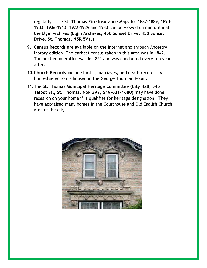regularly. The **St. Thomas Fire Insurance Maps** for 1882-1889, 1890- 1903, 1906-1913, 1922-1929 and 1943 can be viewed on microfilm at the Elgin Archives **(Elgin Archives, 450 Sunset Drive, 450 Sunset Drive, St. Thomas, N5R 5V1.)**

- 9. **Census Records** are available on the internet and through Ancestry Library edition. The earliest census taken in this area was in 1842. The next enumeration was in 1851 and was conducted every ten years after.
- 10.**Church Records** include births, marriages, and death records. A limited selection is housed in the George Thorman Room.
- 11.The **St. Thomas Municipal Heritage Committee (City Hall, 545 Talbot St., St. Thomas, N5P 3V7, 519-631-1680)** may have done research on your home if it qualifies for heritage designation. They have appraised many homes in the Courthouse and Old English Church area of the city.

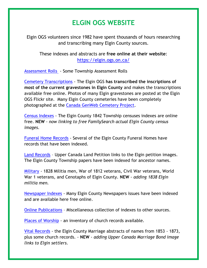## **ELGIN OGS WEBSITE**

Elgin OGS volunteers since 1982 have spent thousands of hours researching and transcribing many Elgin County sources.

These indexes and abstracts are **free online at their website**: <https://elgin.ogs.on.ca/>

[Assessment Rolls](https://sites.google.com/site/elginbranchogs/Home/ancestor-indexes/assessment-rolls) - Some Township Assessment Rolls

[Cemetery Transcriptions](https://sites.google.com/site/elginbranchogs/Home/ancestor-indexes/gravestones) - The Elgin OGS **has transcribed the inscriptions of most of the current gravestones in Elgin County** and makes the transcriptions available free online. Photos of many Elgin gravestones are posted at the Elgin OGS Flickr site. Many Elgin County cemeteries have been completely photographed at the [Canada GenWeb Cemetery Project.](http://geneofun.on.ca/query/?table=CEMS&template=query_map&search=ASSIGNED&find=ONELG&smode=S&sort=CEMETERY&max=200&page=1)

[Census Indexes](https://sites.google.com/site/elginbranchogs/Home/ancestor-indexes/census) - The Elgin County 1842 Township censuses indexes are online free. **NEW** - *now linking to free FamilySearch actual Elgin County census images.*

[Funeral Home Records](https://sites.google.com/site/elginbranchogs/Home/ancestor-indexes/funeral-home) - Several of the Elgin County Funeral Homes have records that have been indexed.

[Land Records](https://sites.google.com/site/elginbranchogs/Home/ancestor-indexes/land-records) – Upper Canada Land Petition links to the Elgin petition images. The Elgin County Township papers have been indexed for ancestor names.

[Military](https://sites.google.com/site/elginbranchogs/Home/ancestor-indexes/military) - 1828 Militia men, War of 1812 veterans, Civil War veterans, World War 1 veterans, and Cenotaphs of Elgin County. **NEW** - *adding 1838 Elgin militia men.*

[Newspaper Indexes](https://sites.google.com/site/elginbranchogs/Home/ancestor-indexes/newspapers) - Many Elgin County Newspapers issues have been indexed and are available here free online.

[Online Publications](https://sites.google.com/site/elginbranchogs/Home/ancestor-indexes/online-publications) – Miscellaneous collection of indexes to other sources.

[Places of Worship](https://sites.google.com/site/elginbranchogs/Home/ancestor-indexes/places-of-worship) - an inventory of church records available.

[Vital Records](https://sites.google.com/site/elginbranchogs/Home/ancestor-indexes/vital-records) - the Elgin County Marriage abstracts of names from 1853 - 1873, plus some church records. - **NEW** - *adding Upper Canada Marriage Bond image links to Elgin settlers.*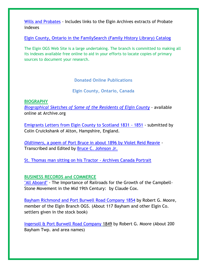[Wills and Probates](https://sites.google.com/site/elginbranchogs/Home/ancestor-indexes/wills-probates) - Includes links to the Elgin Archives extracts of Probate indexes

[Elgin County, Ontario in the FamilySearch \(Family History Library\)](https://familysearch.org/search/catalog/results?count=20&query=%2Bsubject%3AElgin%20%2Bsubject%3AOntario) Catalog

The Elgin OGS Web Site is a large undertaking. The branch is committed to making all its indexes available free online to aid in your efforts to locate copies of primary sources to document your research.

**Donated Online Publications**

**Elgin County, Ontario, Canada**

**BIOGRAPHY**

*[Biographical Sketches of Some of the Residents of Elgin County](http://archive.org/stream/cihm_10197#page/n5/mode/2up)* - available online at Archive.org

[Emigrants Letters from Elgin County to Scotland 1831 -](https://sites.google.com/site/elginbranchogs/Home/ancestor-indexes/online-publications/emigrants-letters-from-elgin-county-to-scotland-1831-1851) 1851 - submitted by Colin Cruickshank of Alton, Hampshire, England.

*[Oldtimers](http://sites.google.com/site/elginbranchogs/Home/ancestor-indexes/oldtimers.htm)*[, a poem of Port Bruce in about 1896 by Violet Reid Reavie](http://sites.google.com/site/elginbranchogs/Home/ancestor-indexes/oldtimers.htm) - Transcribed and Edited by [Bruce C. Johnson Jr.](mailto:bcjohnsonjr@gmail.com)

[St. Thomas man sitting on his Tractor -](http://collectionscanada.gc.ca/pam_archives/index.php?fuseaction=genitem.displayEcopies&lang=eng&rec_nbr=4314603&title=A+farmer+sitting+on+his+tractor+in+the+sugar+beet+area+near+St.+Thomas%2C+Ontario.+Commercial+fertilizer+is+spread+on+a+field+in+preparation+for+the+summer%27s+crop+of+beets.+&ecopy=e010996317-v8) Archives Canada Portrait

#### **BUSINESS RECORDS and COMMERCE**

["All Aboard"](https://sites.google.com/site/elginbranchogs/Home/ancestor-indexes/online-publications/all-aboard) - The Importance of Railroads for the Growth of the Campbell-Stone Movement in the Mid 19th Century: by Claude Cox.

[Bayham Richmond and Port Burwell Road Company](https://sites.google.com/site/elginbranchogs/Home/ancestor-indexes/online-publications/bayham-richmond-and-port-burwell-road-company-5) 1854 by Robert G. Moore, member of the Elgin Branch OGS. (About 117 Bayham and other Elgin Co. settlers given in the stock book)

[Ingersoll & Port Burwell Road Company](https://sites.google.com/site/elginbranchogs/Home/ancestor-indexes/online-publications/ingtersoil-port-burwell-road-company) 1849 by Robert G. Moore (About 200 Bayham Twp. and area names)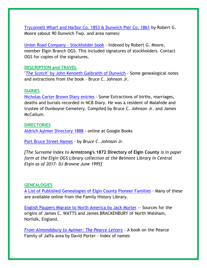[Tryconnell Wharf and Harbor Co. 1853 & Dunwich Pier Co. 1861](https://sites.google.com/site/elginbranchogs/Home/ancestor-indexes/online-publications/tyconnel-wharf-and-harbour-co-1853-and-dunwich-pier-co-1861) by Robert G. Moore (about 90 Dunwich Twp. and area names)

[Union Road Company -](https://sites.google.com/site/elginbranchogs/Home/ancestor-indexes/online-publications/union-road-company) Stockholder book - Indexed by Robert G. Moore, member Elgin Branch OGS. This included signatures of stockholders. Contact OGS for copies of the signatures.

#### **DESCRIPTION and TRAVEL**

"*The Scotch*[" by John Kenneth Galbraith of Dunwich](https://sites.google.com/site/elginbranchogs/Home/ancestor-indexes/online-publications/the-scotch---notes-on-the-galbraith-book) - Some genealogical notes and extractions from the book - Bruce C. Johnson Jr.

#### **DIARIES**

[Nicholas Carter Brown Diary entries](https://sites.google.com/site/elginbranchogs/Home/ancestor-indexes/online-publications/diary-of-nicholas-carter-brown) - Some Extractions of births, marriages, deaths and burials recorded in NCB Diary. He was a resident of Malahide and trustee of Dunboyne Cemetery. Compiled by Bruce C. Johnson Jr. and James McCallum.

#### **DIRECTORIES**

[Aldrich Aylmer Directory](https://books.google.com/books?id=z6wOAAAAYAAJ&pg=PA37&lpg=PA37&dq=Aldrich%E2%80%99s+Directory+for+Aylmer&source=bl&ots=WKBn7vRc15&sig=2K5PND3Rw4LLvDAO7yWMZHan48c&hl=en&sa=X&ved=0ahUKEwj8yvqtwbXSAhUH04MKHYbjDlYQ6AEINzAF#v=onepage&q=Aldrich%E2%80%99s%20Directory%20for%20Aylmer&f=false) 1888 - online at Google Books

[Port Bruce Street Names](https://sites.google.com/site/elginbranchogs/Home/ancestor-indexes/online-publications/port-bruce-street-names) - by *Bruce C. Johnson Jr.*

*[The Surname Index to* **Armstrong's 1872 Directory of Elgin County** *is in paper form at the Elgin OGS Library collection at the Belmont Library in Central Elgin as of 2017- DJ Browne June 1995]*

#### **GENEALOGIES**

A List of Published [Genealogies of Elgin County Pioneer Families](https://sites.google.com/site/elginbranchogs/Home/ancestor-indexes/online-publications/published-genealogies-of-elgin-pioneers) - Many of these are available online from the Family History Library.

[English Paupers Migrate to North America](https://sites.google.com/site/elginbranchogs/Home/ancestor-indexes/online-publications/english-paupers-migrate-to-north-america-by-jack-morter) by Jack Morter -- Sources for the origins of James C. WATTS and James BRACKENBURY of North Walsham, Norfolk, England.

*[From Almondsbury to Aylmer: The Pearce Letters](https://sites.google.com/site/elginbranchogs/Home/ancestor-indexes/online-publications/from-almondsbury-to-aylmer-the-pearce-letters)* - A book on the Pearce Family of Jaffa area by David Porter - Index of names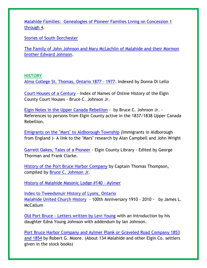[Malahide Families: Genealogies of Pioneer Families Living on Concession 1](https://sites.google.com/site/elginbranchogs/Home/ancestor-indexes/online-publications/malahide-families)  [through 4.](https://sites.google.com/site/elginbranchogs/Home/ancestor-indexes/online-publications/malahide-families)

[Stories of South Dorchester](https://sites.google.com/site/elginbranchogs/Home/ancestor-indexes/online-publications/stories-of-south-dorchester)

[The Family of John Johnson and Mary McLachlin of Malahide and their Mormon](https://sites.google.com/site/elginbranchogs/Home/ancestor-indexes/online-publications/the-family-of-john-johnson-and-mary-mclachlin-of-malahide-and-their-morman-brother-edward-johnson)  [brother Edward Johnson.](https://sites.google.com/site/elginbranchogs/Home/ancestor-indexes/online-publications/the-family-of-john-johnson-and-mary-mclachlin-of-malahide-and-their-morman-brother-edward-johnson)

#### **HISTORY**

[Alma College St. Thomas, Ontario 1877 -](https://sites.google.com/site/elginbranchogs/Home/ancestor-indexes/online-publications/alma-college-st-thomas-1877-1977) 1977. Indexed by Donna Di Lello

[Court Houses of a Century](https://sites.google.com/site/elginbranchogs/Home/ancestor-indexes/online-publications/court-houses-of-a-century---index) - Index of Names of Online History of the Elgin County Court Houses - Bruce C. Johnson Jr.

[Elgin Notes in the Upper Canada Rebellion](https://sites.google.com/site/elginbranchogs/Home/ancestor-indexes/online-publications/elgin-notes-in-the-upper-canada-rebellion-1837-1838) - by Bruce C. Johnson Jr. - References to persons from Elgin County active in the 1837/1838 Upper Canada Rebellion.

[Emigrants on the "Mars" to Aldborough Township](https://sites.google.com/site/elginbranchogs/Home/ancestor-indexes/online-publications/emigrants-on-the-mars) (Immigrants in Aldborough from England )- A link to the "Mars" research by Alan Campbell and John Wright

[Garrett Oakes, Tales of a Pioneer](http://www.elginhistoricalsociety.ca/exhibits/content/garrett-oakes-tales-pioneer-veteran-war-1812) - Elgin County Library - Edited by George Thorman and Frank Clarke.

[History of the Port Bruce Harbor Company](https://sites.google.com/site/elginbranchogs/Home/ancestor-indexes/online-publications/history-of-the-port-bruce-harbor-company) by Captain Thomas Thompson, compiled by [Bruce C. Johnson Jr.](mailto:bcjohnsonjr@gmail.com)

[History of Malahide Masonic Lodge #140](https://sites.google.com/site/elginbranchogs/Home/ancestor-indexes/online-publications/history-of-malahide-masonic-lodge-140-aylmer) - Aylmer

[Index to Tweedsmuir History of Lyons, Ontario](https://sites.google.com/site/elginbranchogs/Home/ancestor-indexes/online-publications/lyons-tweedsmuir-history-index) [Malahide United Church History](https://sites.google.com/site/elginbranchogs/Home/ancestor-indexes/online-publications/malahide-united-church-history) - 100th Anniversary 1910 - 2010 - by James L. McCallum

Old Port Bruce - [Letters written by Levi Young](https://sites.google.com/site/elginbranchogs/Home/ancestor-indexes/online-publications/old-port-bruce---levi-young-letters) with an introduction by his daughter Edna Young Johnson with addendum by Ian Johnson.

[Port Bruce Harbor Company and Aylmer Plank or Graveled](https://sites.google.com/site/elginbranchogs/Home/ancestor-indexes/online-publications/port-bruce-harbour-company-and-aylmer-plank-or-gravell-rd-company) Road Company 1853 and 1854 by Robert G. Moore. (About 134 Malahide and other Elgin Co. settlers given in the stock books)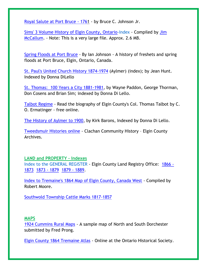[Royal Salute at Port Bruce -](https://sites.google.com/site/elginbranchogs/Home/ancestor-indexes/online-publications/royal-salute-at-port-bruce---1761) 1761 - by Bruce C. Johnson Jr.

[Sims' 3 Volume History of Elgin County, Ontario-](https://sites.google.com/site/elginbranchogs/Home/ancestor-indexes/online-publications/index-to-sims-history)Index - Compiled by [Jim](mailto:jamesmccallumue@gmail.com)  [McCallum.](mailto:jamesmccallumue@gmail.com) - Note: This is a very large file. Approx. 2.6 MB.

[Spring Floods at Port Bruce](https://sites.google.com/site/elginbranchogs/Home/ancestor-indexes/online-publications/spring-floods-in-port-bruce) - By Ian Johnson - A history of freshets and spring floods at Port Bruce, Elgin, Ontario, Canada.

[St. Paul's United Church History 1874-1974](https://sites.google.com/site/elginbranchogs/Home/ancestor-indexes/online-publications/st-paul-s-united-church-index) (Aylmer) (index); by Jean Hunt. Indexed by Donna DiLello

[St. Thomas: 100 Years a City 1881-1981,](https://sites.google.com/site/elginbranchogs/Home/ancestor-indexes/online-publications/st-thomas-100-years-a-city) by Wayne Paddon, George Thorman, Don Cosens and Brian Sim; indexed by Donna Di Lello.

[Talbot Regime](https://sites.google.com/site/elginbranchogs/Home/ancestor-indexes/online-publications/talbot-regime) - Read the biography of Elgin County's Col. Thomas Talbot by C. O. Ermatinger - free online.

[The History of Aylmer to 1900,](https://sites.google.com/site/elginbranchogs/Home/ancestor-indexes/online-publications/history-of-aylmer-to-1900) by Kirk Barons, Indexed by Donna Di Lello.

[Tweedsmuir Histories online](http://www.elgin.ca/ElginCounty/CulturalServices/Archives/tweedsmuir/Clachan/Clachan%20Vol%201.pdf) - Clachan Community History – Elgin County Archives.

#### **LAND and PROPERTY – Indexes**

Index to the GENERAL REGISTER - Elgin County Land Registry Office: [1866](https://sites.google.com/site/elginbranchogs/Home/ancestor-indexes/online-publications/general-register-1866-1873) - [1873](https://sites.google.com/site/elginbranchogs/Home/ancestor-indexes/online-publications/general-register-1866-1873) [1873 -](https://sites.google.com/site/elginbranchogs/Home/ancestor-indexes/online-publications/general-register-1873-1879) 1879 [1879 -](https://sites.google.com/site/elginbranchogs/Home/ancestor-indexes/online-publications/general-register-1) 1889.

[Index to Tremaine's 1864 Map of Elgin County, Canada West](https://sites.google.com/site/elginbranchogs/Home/ancestor-indexes/online-publications/idex-to-tremaine-s-1864-map-of-elgin-county) - Compiled by Robert Moore.

[Southwold Township Cattle Marks 1817-1857](https://sites.google.com/site/elginbranchogs/Home/ancestor-indexes/online-publications/southwold-cattle-marks)

#### **MAPS**

[1924 Cummins Rural Maps](https://sites.google.com/site/elginbranchogs/Home/ancestor-indexes/online-publications/1924-cummins-rural-maps) - A sample map of North and South Dorchester submitted by Fred Prong.

[Elgin County 1864 Tremaine Atlas](http://maps.library.utoronto.ca/hgis/countymaps/elgin/index.html) - Online at the Ontario Historical Society.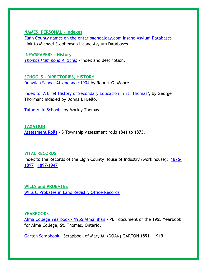**NAMES, PERSONAL – Indexes**

[Elgin County names on the ontariogenealogy.com Insane Asylum Databases](https://sites.google.com/site/elginbranchogs/Home/ancestor-indexes/online-publications/elgin-county-names-on-the-ontario-genealogy-insane-asylum-databases) - Link to Michael Stephenson Insane Asylum Databases.

**NEWSPAPERS – History**  *[Thomas Hammond Articles](https://sites.google.com/site/elginbranchogs/Home/ancestor-indexes/online-publications/thomas-hammond-articles) -* index and description.

**SCHOOLS - DIRECTORIES, HISTORY**  [Dunwich School Attendance 1904](https://sites.google.com/site/elginbranchogs/Home/ancestor-indexes/online-publications/dunwich-school-attendance-1904-1) by Robert G. Moore.

[Index to "A Brief History of Secondary Education in St. Thomas"](https://sites.google.com/site/elginbranchogs/Home/ancestor-indexes/online-publications/index-to-brief-history-of-secondary-education), by George Thorman; indexed by Donna Di Lello.

[Talbotville](https://sites.google.com/site/elginbranchogs/Home/ancestor-indexes/online-publications/talbotville-school) School - by Morley Thomas.

**TAXATION**  [Assessment Rolls](https://sites.google.com/site/elginbranchogs/Home/ancestor-indexes/assessment-rolls) - 3 Township Assessment rolls 1841 to 1873.

**VITAL RECORDS**  Index to the Records of the Elgin County House of Industry (work house): [1876-](https://sites.google.com/site/elginbranchogs/Home/ancestor-indexes/online-publications/house-of-industry-1876-1897) [1897](https://sites.google.com/site/elginbranchogs/Home/ancestor-indexes/online-publications/house-of-industry-1876-1897) [1897-1947](https://sites.google.com/site/elginbranchogs/Home/ancestor-indexes/online-publications/house-of-industry-1897-1947)

**WILLS and PROBATES**  [Wills & Probates in Land Registry Office Records](https://sites.google.com/site/elginbranchogs/Home/ancestor-indexes/wills-probates)

#### **YEARBOOKS**

[Alma College Yearbook -](https://drive.google.com/open?id=0BzxXZZ8HonCwX18ydVdDVklyN28&authuser=0) 1955 AlmaFilian - PDF document of the 1955 Yearbook for Alma College, St. Thomas, Ontario.

[Garton Scrapbook](https://sites.google.com/site/elginbranchogs/Home/ancestor-indexes/online-publications/garton-2) - Scrapbook of Mary M. (DOAN) GARTON 1891 – 1919.